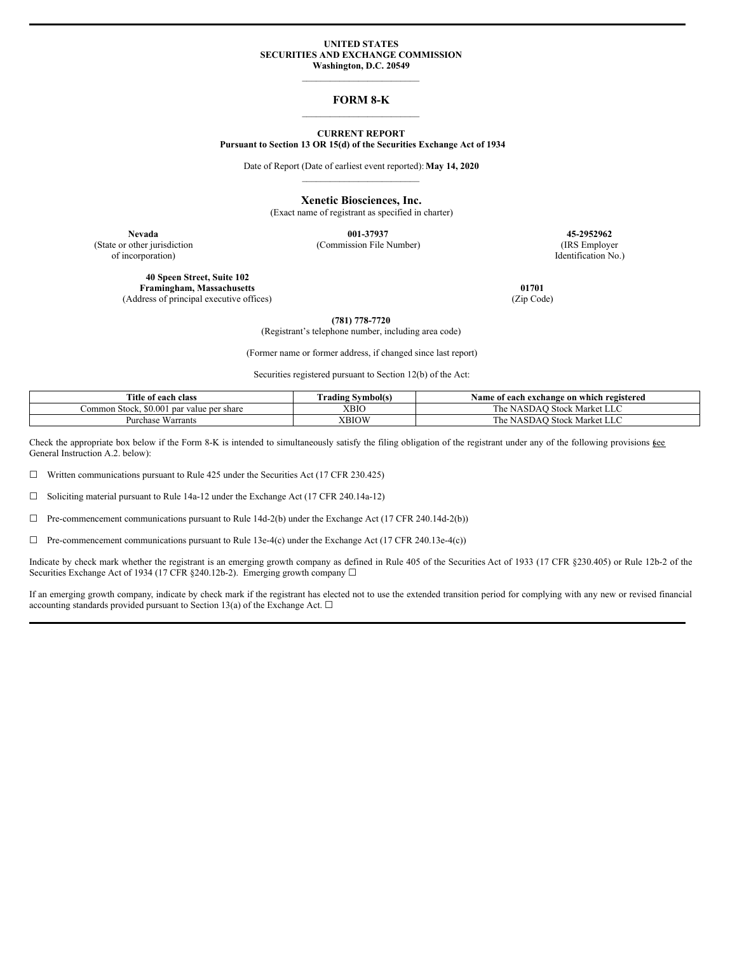### **UNITED STATES SECURITIES AND EXCHANGE COMMISSION Washington, D.C. 20549**

# $\mathcal{L}_\text{max}$

# **FORM 8-K** \_\_\_\_\_\_\_\_\_\_\_\_\_\_\_\_\_\_\_\_\_\_\_\_\_

### **CURRENT REPORT Pursuant to Section 13 OR 15(d) of the Securities Exchange Act of 1934**

Date of Report (Date of earliest event reported):**May 14, 2020** \_\_\_\_\_\_\_\_\_\_\_\_\_\_\_\_\_\_\_\_\_\_\_\_\_

> **Xenetic Biosciences, Inc.** (Exact name of registrant as specified in charter)

of incorporation) Identification No.)

**Nevada 001-37937 45-2952962** (State or other jurisdiction (Commission File Number) (IRS Employer

**40 Speen Street, Suite 102 Framingham, Massachusetts 01701** (Address of principal executive offices) (Zip Code)

**(781) 778-7720** (Registrant's telephone number, including area code)

(Former name or former address, if changed since last report)

Securities registered pursuant to Section 12(b) of the Act:

| Title of each class                              | $\sim$<br>Urading Symbol(s) | Name of each exchange on which registered |  |
|--------------------------------------------------|-----------------------------|-------------------------------------------|--|
| Common Stock, \$0,001 par ·<br>value per share : | XBIC                        | 1) Stock Market LLC<br>he<br>NASDAC       |  |
| $\mathbf{v}$<br>: Warrants<br>Purchase           | XBIOW                       | ∕ Stock Market ′<br>he<br>NASDAC<br>ب سار |  |

Check the appropriate box below if the Form 8-K is intended to simultaneously satisfy the filing obligation of the registrant under any of the following provisions  $\underline{\mathfrak{g}}\underline{\mathfrak{e}}\underline{\mathfrak{e}}$ General Instruction A.2. below):

☐ Written communications pursuant to Rule 425 under the Securities Act (17 CFR 230.425)

☐ Soliciting material pursuant to Rule 14a-12 under the Exchange Act (17 CFR 240.14a-12)

☐ Pre-commencement communications pursuant to Rule 14d-2(b) under the Exchange Act (17 CFR 240.14d-2(b))

 $\Box$  Pre-commencement communications pursuant to Rule 13e-4(c) under the Exchange Act (17 CFR 240.13e-4(c))

Indicate by check mark whether the registrant is an emerging growth company as defined in Rule 405 of the Securities Act of 1933 (17 CFR §230.405) or Rule 12b-2 of the Securities Exchange Act of 1934 (17 CFR §240.12b-2). Emerging growth company □

If an emerging growth company, indicate by check mark if the registrant has elected not to use the extended transition period for complying with any new or revised financial accounting standards provided pursuant to Section 13(a) of the Exchange Act.  $\square$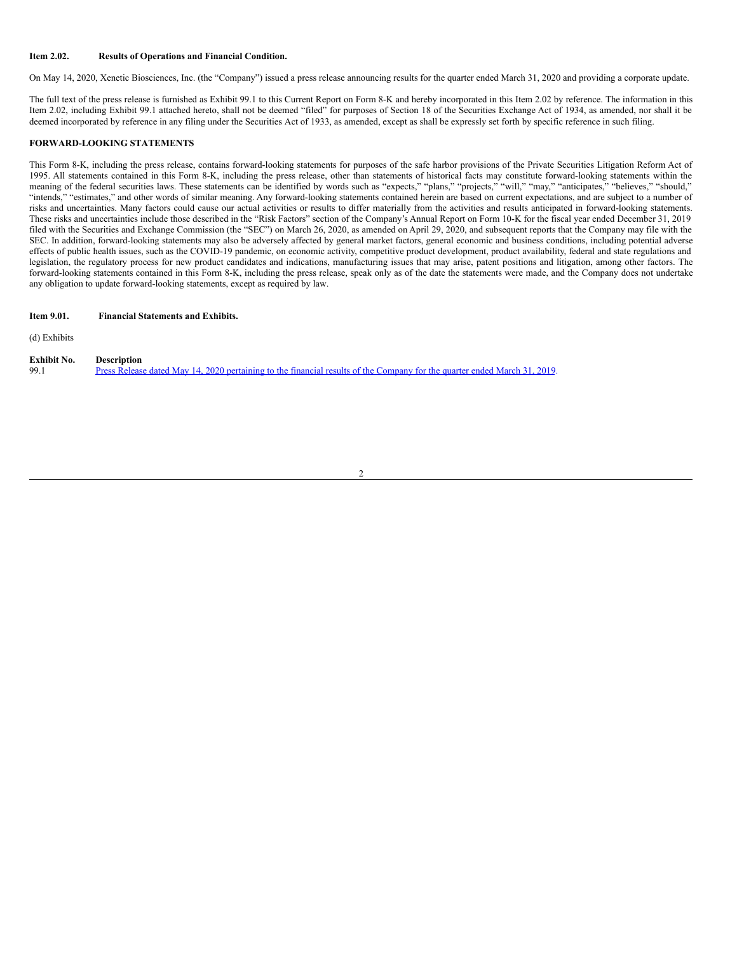### **Item 2.02. Results of Operations and Financial Condition.**

On May 14, 2020, Xenetic Biosciences, Inc. (the "Company") issued a press release announcing results for the quarter ended March 31, 2020 and providing a corporate update.

The full text of the press release is furnished as Exhibit 99.1 to this Current Report on Form 8-K and hereby incorporated in this Item 2.02 by reference. The information in this Item 2.02, including Exhibit 99.1 attached hereto, shall not be deemed "filed" for purposes of Section 18 of the Securities Exchange Act of 1934, as amended, nor shall it be deemed incorporated by reference in any filing under the Securities Act of 1933, as amended, except as shall be expressly set forth by specific reference in such filing.

### **FORWARD-LOOKING STATEMENTS**

This Form 8-K, including the press release, contains forward-looking statements for purposes of the safe harbor provisions of the Private Securities Litigation Reform Act of 1995. All statements contained in this Form 8-K, including the press release, other than statements of historical facts may constitute forward-looking statements within the meaning of the federal securities laws. These statements can be identified by words such as "expects," "plans," "projects," "will," "may," "anticipates," "believes," "should," "intends," "estimates," and other words of similar meaning. Any forward-looking statements contained herein are based on current expectations, and are subject to a number of risks and uncertainties. Many factors could cause our actual activities or results to differ materially from the activities and results anticipated in forward-looking statements. These risks and uncertainties include those described in the "Risk Factors" section of the Company's Annual Report on Form 10-K for the fiscal year ended December 31, 2019 filed with the Securities and Exchange Commission (the "SEC") on March 26, 2020, as amended on April 29, 2020, and subsequent reports that the Company may file with the SEC. In addition, forward-looking statements may also be adversely affected by general market factors, general economic and business conditions, including potential adverse effects of public health issues, such as the COVID-19 pandemic, on economic activity, competitive product development, product availability, federal and state regulations and legislation, the regulatory process for new product candidates and indications, manufacturing issues that may arise, patent positions and litigation, among other factors. The forward-looking statements contained in this Form 8-K, including the press release, speak only as of the date the statements were made, and the Company does not undertake any obligation to update forward-looking statements, except as required by law.

2

| Item 9.01. | <b>Financial Statements and Exhibits.</b> |  |
|------------|-------------------------------------------|--|
|------------|-------------------------------------------|--|

(d) Exhibits

| <b>Exhibit No.</b> | <b>Description</b>                                                                                                        |
|--------------------|---------------------------------------------------------------------------------------------------------------------------|
| 99.1               | Press Release dated May 14, 2020 pertaining to the financial results of the Company for the quarter ended March 31, 2019. |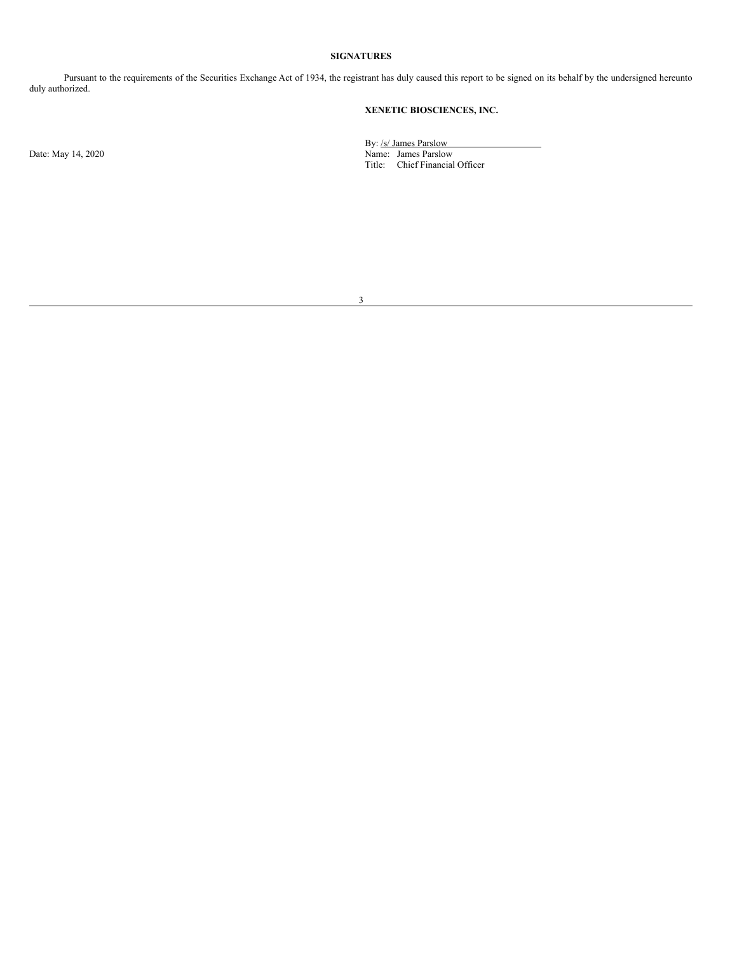### **SIGNATURES**

Pursuant to the requirements of the Securities Exchange Act of 1934, the registrant has duly caused this report to be signed on its behalf by the undersigned hereunto duly authorized.

# **XENETIC BIOSCIENCES, INC.**

By: /s/ James Parslow Date: May 14, 2020 Name: James Parslow Title: Chief Financial Officer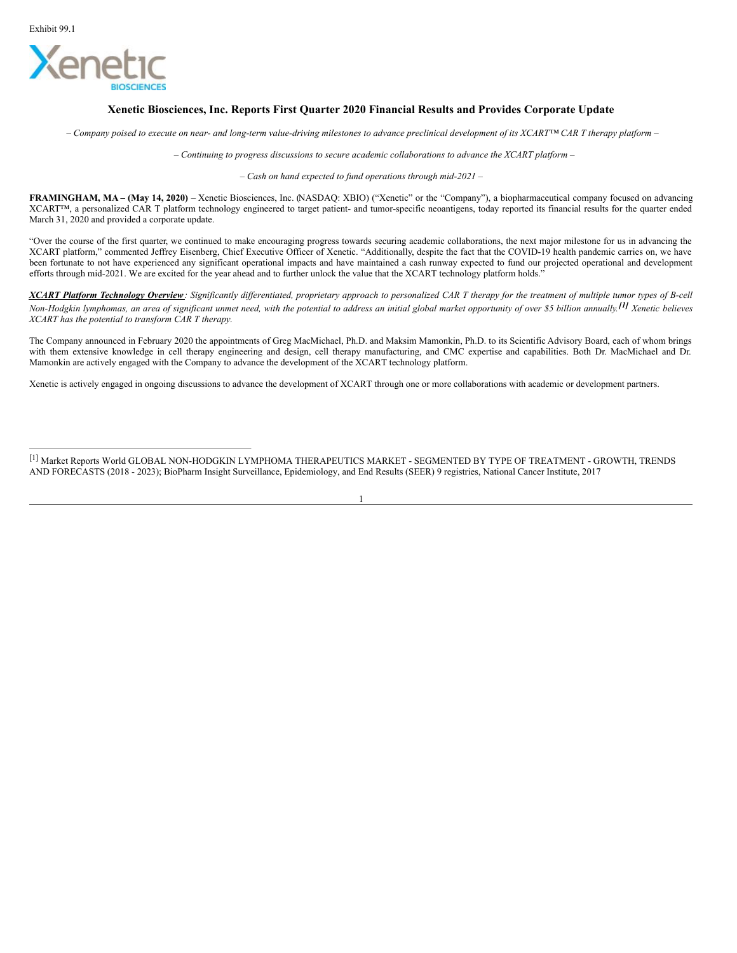

# **Xenetic Biosciences, Inc. Reports First Quarter 2020 Financial Results and Provides Corporate Update**

- Company poised to execute on near- and long-term value-driving milestones to advance preclinical development of its XCART<sup>IM</sup> CAR T therapy platform -

*– Continuing to progress discussions to secure academic collaborations to advance the XCART platform –*

*– Cash on hand expected to fund operations through mid-2021 –*

**FRAMINGHAM, MA – (May 14, 2020)** – Xenetic Biosciences, Inc. (NASDAQ: XBIO) ("Xenetic" or the "Company"), a biopharmaceutical company focused on advancing XCART™, a personalized CAR T platform technology engineered to target patient- and tumor-specific neoantigens, today reported its financial results for the quarter ended March 31, 2020 and provided a corporate update.

"Over the course of the first quarter, we continued to make encouraging progress towards securing academic collaborations, the next major milestone for us in advancing the XCART platform," commented Jeffrey Eisenberg, Chief Executive Officer of Xenetic. "Additionally, despite the fact that the COVID-19 health pandemic carries on, we have been fortunate to not have experienced any significant operational impacts and have maintained a cash runway expected to fund our projected operational and development efforts through mid-2021. We are excited for the year ahead and to further unlock the value that the XCART technology platform holds."

XCART Platform Technology Overview: Significantly differentiated, proprietary approach to personalized CAR T therapy for the treatment of multiple tumor types of B-cell Non-Hodgkin lymphomas, an area of significant unmet need, with the potential to address an initial global market opportunity of over \$5 billion annually.<sup>[1]</sup> Xenetic believes *XCART has the potential to transform CAR T therapy.*

The Company announced in February 2020 the appointments of Greg MacMichael, Ph.D. and Maksim Mamonkin, Ph.D. to its Scientific Advisory Board, each of whom brings with them extensive knowledge in cell therapy engineering and design, cell therapy manufacturing, and CMC expertise and capabilities. Both Dr. MacMichael and Dr. Mamonkin are actively engaged with the Company to advance the development of the XCART technology platform.

Xenetic is actively engaged in ongoing discussions to advance the development of XCART through one or more collaborations with academic or development partners.

[1] Market Reports World GLOBAL NON-HODGKIN LYMPHOMA THERAPEUTICS MARKET - SEGMENTED BY TYPE OF TREATMENT - GROWTH, TRENDS AND FORECASTS (2018 - 2023); BioPharm Insight Surveillance, Epidemiology, and End Results (SEER) 9 registries, National Cancer Institute, 2017

1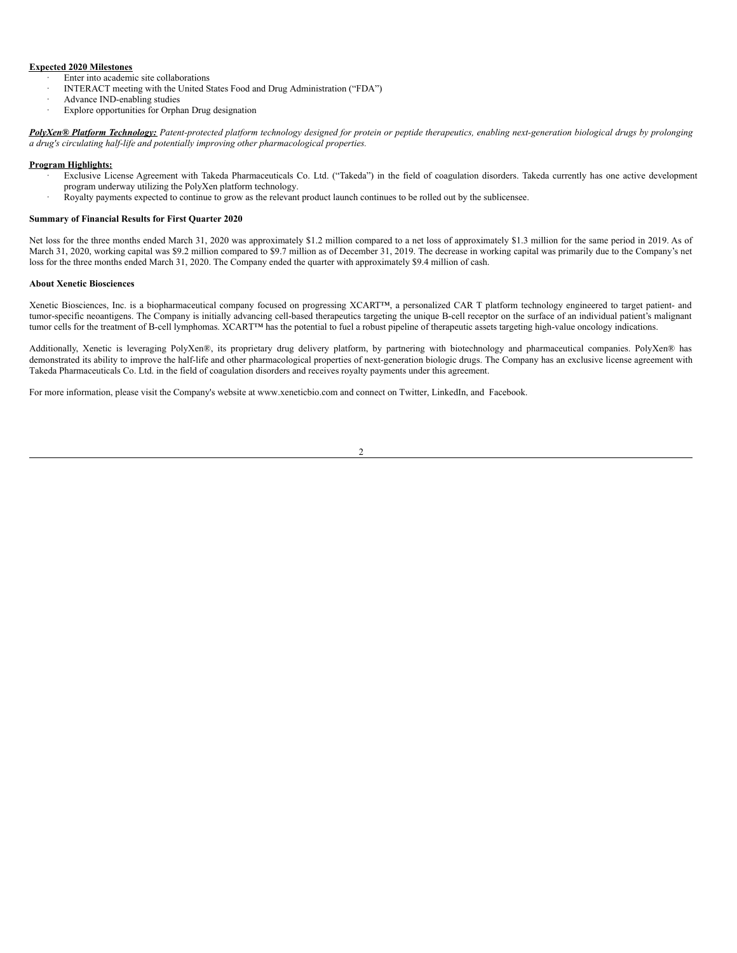## <span id="page-4-0"></span>**Expected 2020 Milestones**

- Enter into academic site collaborations
- · INTERACT meeting with the United States Food and Drug Administration ("FDA")
- Advance IND-enabling studies
- Explore opportunities for Orphan Drug designation

PolyXen® Platform Technology: Patent-protected platform technology designed for protein or peptide therapeutics, enabling next-generation biological drugs by prolonging *a drug's circulating half-life and potentially improving other pharmacological properties.*

### **Program Highlights:**

- Exclusive License Agreement with Takeda Pharmaceuticals Co. Ltd. ("Takeda") in the field of coagulation disorders. Takeda currently has one active development program underway utilizing the PolyXen platform technology.
- · Royalty payments expected to continue to grow as the relevant product launch continues to be rolled out by the sublicensee.

### **Summary of Financial Results for First Quarter 2020**

Net loss for the three months ended March 31, 2020 was approximately \$1.2 million compared to a net loss of approximately \$1.3 million for the same period in 2019. As of March 31, 2020, working capital was \$9.2 million compared to \$9.7 million as of December 31, 2019. The decrease in working capital was primarily due to the Company's net loss for the three months ended March 31, 2020. The Company ended the quarter with approximately \$9.4 million of cash.

# **About Xenetic Biosciences**

Xenetic Biosciences, Inc. is a biopharmaceutical company focused on progressing XCART™, a personalized CAR T platform technology engineered to target patient- and tumor-specific neoantigens. The Company is initially advancing cell-based therapeutics targeting the unique B-cell receptor on the surface of an individual patient's malignant tumor cells for the treatment of B-cell lymphomas. XCART™ has the potential to fuel a robust pipeline of therapeutic assets targeting high-value oncology indications.

Additionally, Xenetic is leveraging PolyXen®, its proprietary drug delivery platform, by partnering with biotechnology and pharmaceutical companies. PolyXen® has demonstrated its ability to improve the half-life and other pharmacological properties of next-generation biologic drugs. The Company has an exclusive license agreement with Takeda Pharmaceuticals Co. Ltd. in the field of coagulation disorders and receives royalty payments under this agreement.

For more information, please visit the Company's website at www.xeneticbio.com and connect on Twitter, LinkedIn, and Facebook.